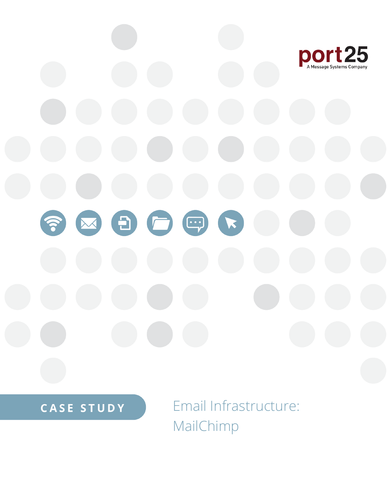

**CASE STUDY** 

Email Infrastructure: MailChimp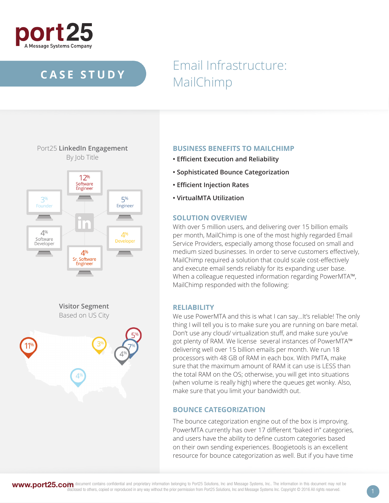

## **CASE STUDY**

# Email Infrastructure: MailChimp



## **BUSINESS BENEFITS TO MAILCHIMP**

- **Efficient Execution and Reliability**
- **Sophisticated Bounce Categorization**
- **Efficient Injection Rates**
- **VirtualMTA Utilization**

### **SOLUTION OVERVIEW**

With over 5 million users, and delivering over 15 billion emails per month, MailChimp is one of the most highly regarded Email Service Providers, especially among those focused on small and medium sized businesses. In order to serve customers effectively, MailChimp required a solution that could scale cost-effectively and execute email sends reliably for its expanding user base. When a colleague requested information regarding PowerMTA™, MailChimp responded with the following:

### **RELIABILITY**

We use PowerMTA and this is what I can say...It's reliable! The only thing I will tell you is to make sure you are running on bare metal. Don't use any cloud/ virtualization stuff, and make sure you've got plenty of RAM. We license several instances of PowerMTA™ delivering well over 15 billion emails per month. We run 18 processors with 48 GB of RAM in each box. With PMTA, make sure that the maximum amount of RAM it can use is LESS than the total RAM on the OS; otherwise, you will get into situations (when volume is really high) where the queues get wonky. Also, make sure that you limit your bandwidth out.

## **BOUNCE CATEGORIZATION**

The bounce categorization engine out of the box is improving. PowerMTA currently has over 17 different "baked in" categories, and users have the ability to define custom categories based on their own sending experiences. Boogietools is an excellent resource for bounce categorization as well. But if you have time